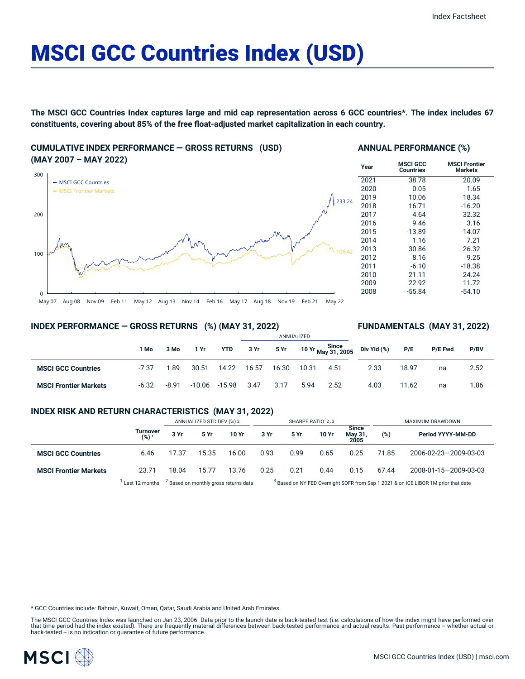# MSCI GCC Countries Index (USD)

**The MSCI GCC Countries Index captures large and mid cap representation across 6 GCC countries\*. The index includes 67 constituents, covering about 85% of the free float-adjusted market capitalization in each country.**

## **CUMULATIVE INDEX PERFORMANCE — GROSS RETURNS (USD) (MAY 2007 – MAY 2022)**



#### **ANNUAL PERFORMANCE (%)**

| Year | <b>MSCI GCC</b><br>Countries | <b>MSCI Frontier</b><br><b>Markets</b> |
|------|------------------------------|----------------------------------------|
| 2021 | 38.78                        | 20.09                                  |
| 2020 | 0.05                         | 1.65                                   |
| 2019 | 10.06                        | 18.34                                  |
| 2018 | 16.71                        | $-16.20$                               |
| 2017 | 4.64                         | 32.32                                  |
| 2016 | 9.46                         | 3.16                                   |
| 2015 | $-13.89$                     | $-14.07$                               |
| 2014 | 1.16                         | 7.21                                   |
| 2013 | 30.86                        | 26.32                                  |
| 2012 | 8.16                         | 9.25                                   |
| 2011 | $-6.10$                      | $-18.38$                               |
| 2010 | 21.11                        | 24.24                                  |
| 2009 | 22.92                        | 11.72                                  |
| 2008 | $-55.84$                     | $-54.10$                               |

## **INDEX PERFORMANCE — GROSS RETURNS (%) (MAY 31, 2022)**

## **FUNDAMENTALS (MAY 31, 2022)**

|                              |         |         |          |               | ANNUALIZED |       |       |      |                                                                     |       |                |      |
|------------------------------|---------|---------|----------|---------------|------------|-------|-------|------|---------------------------------------------------------------------|-------|----------------|------|
|                              | 1 Mo    | 3 Mo    | 1 Yr     | YTD           | 3Yr        |       |       |      | . 5 Yr 10 Yr $\frac{\text{Since}}{\text{May 31, 2005}}$ Div Yld (%) | P/E   | <b>P/E Fwd</b> | P/BV |
| <b>MSCI GCC Countries</b>    | $-7.37$ | 1.89    | 30.51    | 14.22         | 16.57      | 16.30 | 10.31 | 4.51 | 2.33                                                                | 18.97 | na             | 2.52 |
| <b>MSCI Frontier Markets</b> | $-6.32$ | $-8.91$ | $-10.06$ | $-15.98$ 3.47 |            | 3.17  | 5.94  | 2.52 | 4.03                                                                | 11.62 | na             | 1.86 |

## **INDEX RISK AND RETURN CHARACTERISTICS (MAY 31, 2022)**

|                              |                              |       | ANNUALIZED STD DEV (%) 2 |       |      | SHARPE RATIO 2,3 |       |                                 | MAXIMUM DRAWDOWN |                       |  |
|------------------------------|------------------------------|-------|--------------------------|-------|------|------------------|-------|---------------------------------|------------------|-----------------------|--|
|                              | Turnover<br>(%) <sup>1</sup> | 3 Yr  | 5 Yr                     | 10 Yr | 3 Yr | 5 Yr             | 10 Yr | <b>Since</b><br>May 31,<br>2005 | (%)              | Period YYYY-MM-DD     |  |
| <b>MSCI GCC Countries</b>    | 6.46                         | 17.37 | 15.35                    | 16.00 | 0.93 | 0.99             | 0.65  | 0.25                            | 71.85            | 2006-02-23-2009-03-03 |  |
| <b>MSCI Frontier Markets</b> | 23.71                        | 18.04 | 15.77                    | 13.76 | 0.25 | 0.21             | 0.44  | 0.15                            | 67.44            | 2008-01-15-2009-03-03 |  |
|                              |                              |       |                          |       |      |                  |       |                                 |                  |                       |  |

 $1$  Last 12 months  $3$  Based on monthly gross returns data  $3$ 

<sup>3</sup> Based on NY FED Overnight SOFR from Sep 1 2021 & on ICE LIBOR 1M prior that date

\* GCC Countries include: Bahrain, Kuwait, Oman, Qatar, Saudi Arabia and United Arab Emirates.

The MSCI GCC Countries Index was launched on Jan 23, 2006. Data prior to the launch date is back-tested test (i.e. calculations of how the index might have performed over that time period had the index existed). There are frequently material differences between back-tested performance and actual results. Past performance -- whether actual or<br>back-tested -- is no indication or guarantee of f

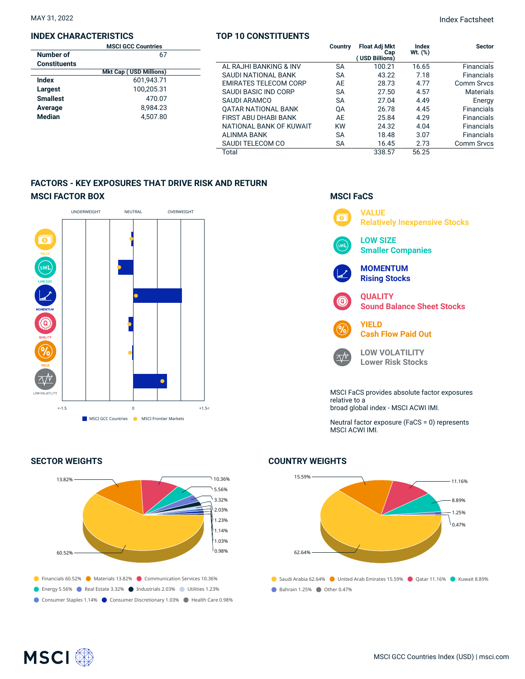### **INDEX CHARACTERISTICS**

#### **TOP 10 CONSTITUENTS**

|                     | <b>MSCI GCC Countries</b>     |                              | Country   | <b>Float Adj Mkt</b> | Index      | <b>Sector</b>     |
|---------------------|-------------------------------|------------------------------|-----------|----------------------|------------|-------------------|
| Number of           | 67                            |                              |           | Cap<br>USD Billions) | Wt. $(\%)$ |                   |
| <b>Constituents</b> |                               | AL RAJHI BANKING & INV       | <b>SA</b> | 100.21               | 16.65      | <b>Financials</b> |
|                     | <b>Mkt Cap (USD Millions)</b> | SAUDI NATIONAL BANK          | <b>SA</b> | 43.22                | 7.18       | <b>Financials</b> |
| <b>Index</b>        | 601.943.71                    | <b>EMIRATES TELECOM CORP</b> | AE        | 28.73                | 4.77       | Comm Srvcs        |
| Largest             | 100.205.31                    | SAUDI BASIC IND CORP         | <b>SA</b> | 27.50                | 4.57       | <b>Materials</b>  |
| <b>Smallest</b>     | 470.07                        | SAUDI ARAMCO                 | <b>SA</b> | 27.04                | 4.49       | Energy            |
| Average             | 8.984.23                      | <b>OATAR NATIONAL BANK</b>   | QA        | 26.78                | 4.45       | <b>Financials</b> |
| <b>Median</b>       | 4.507.80                      | FIRST ABU DHABI BANK         | AE        | 25.84                | 4.29       | <b>Financials</b> |
|                     |                               | NATIONAL BANK OF KUWAIT      | <b>KW</b> | 24.32                | 4.04       | <b>Financials</b> |
|                     |                               | ALINMA BANK                  | <b>SA</b> | 18.48                | 3.07       | <b>Financials</b> |
|                     |                               | SAUDI TELECOM CO             | <b>SA</b> | 16.45                | 2.73       | Comm Srvcs        |
|                     |                               | Total                        |           | 338.57               | 56.25      |                   |

## **FACTORS - KEY EXPOSURES THAT DRIVE RISK AND RETURN MSCI FACTOR BOX**



#### **SECTOR WEIGHTS**



## **MSCI FaCS VALUE**  $\overline{\bullet}$ **Relatively Inexpensive Stocks LOW SIZE Smaller Companies MOMENTUM Rising Stocks QUALITY Sound Balance Sheet Stocks YIELD Cash Flow Paid Out LOW VOLATILITY**  $\wedge N$ **Lower Risk Stocks** MSCI FaCS provides absolute factor exposures relative to a broad global index - MSCI ACWI IMI. Neutral factor exposure (FaCS = 0) represents MSCI ACWI IMI.



**COUNTRY WEIGHTS**



## **MSCI**<sup></sup>